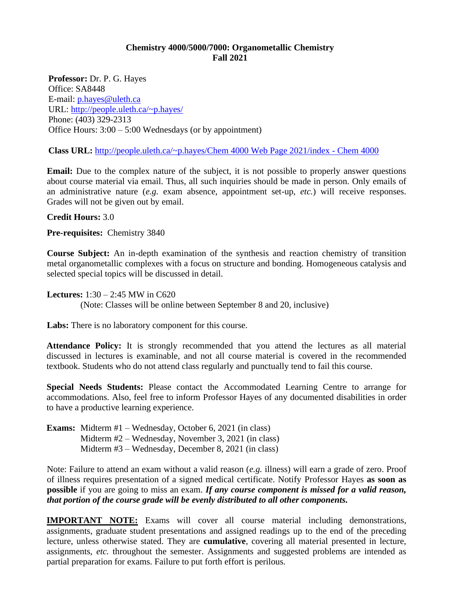## **Chemistry 4000/5000/7000: Organometallic Chemistry Fall 2021**

**Professor:** Dr. P. G. Hayes Office: SA8448 E-mail: [p.hayes@uleth.ca](mailto:p.hayes@uleth.ca) URL:<http://people.uleth.ca/~p.hayes/> Phone: (403) 329-2313 Office Hours: 3:00 – 5:00 Wednesdays (or by appointment)

**Class URL:** [http://people.uleth.ca/~p.hayes/Chem 4000 Web Page 2021/index -](http://people.uleth.ca/~p.hayes/Chem%204000%20Web%20Page%202021/index%20-%20Chem%204000) Chem 4000

**Email:** Due to the complex nature of the subject, it is not possible to properly answer questions about course material via email. Thus, all such inquiries should be made in person. Only emails of an administrative nature (*e.g.* exam absence, appointment set-up, *etc.*) will receive responses. Grades will not be given out by email.

### **Credit Hours:** 3.0

**Pre-requisites:** Chemistry 3840

**Course Subject:** An in-depth examination of the synthesis and reaction chemistry of transition metal organometallic complexes with a focus on structure and bonding. Homogeneous catalysis and selected special topics will be discussed in detail.

**Lectures:** 1:30 – 2:45 MW in C620

(Note: Classes will be online between September 8 and 20, inclusive)

**Labs:** There is no laboratory component for this course.

**Attendance Policy:** It is strongly recommended that you attend the lectures as all material discussed in lectures is examinable, and not all course material is covered in the recommended textbook. Students who do not attend class regularly and punctually tend to fail this course.

**Special Needs Students:** Please contact the Accommodated Learning Centre to arrange for accommodations. Also, feel free to inform Professor Hayes of any documented disabilities in order to have a productive learning experience.

**Exams:** Midterm #1 – Wednesday, October 6, 2021 (in class) Midterm #2 – Wednesday, November 3, 2021 (in class) Midterm #3 – Wednesday, December 8, 2021 (in class)

Note: Failure to attend an exam without a valid reason (*e.g.* illness) will earn a grade of zero. Proof of illness requires presentation of a signed medical certificate. Notify Professor Hayes **as soon as possible** if you are going to miss an exam. *If any course component is missed for a valid reason, that portion of the course grade will be evenly distributed to all other components.*

**IMPORTANT NOTE:** Exams will cover all course material including demonstrations, assignments, graduate student presentations and assigned readings up to the end of the preceding lecture, unless otherwise stated. They are **cumulative**, covering all material presented in lecture, assignments, *etc.* throughout the semester. Assignments and suggested problems are intended as partial preparation for exams. Failure to put forth effort is perilous.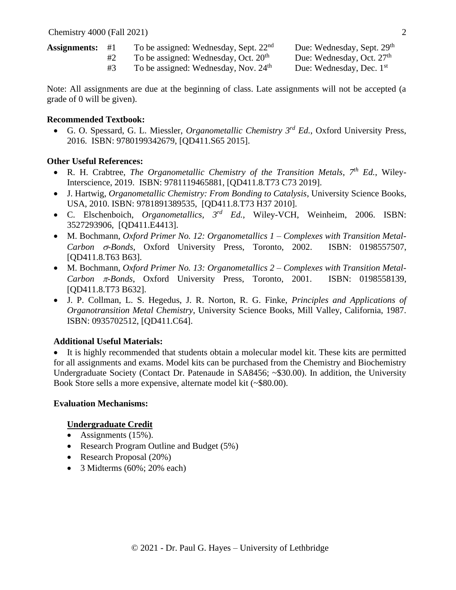| Assignments: $\#1$ | To be assigned: Wednesday, Sept. $22nd$          | Due: Wednesday, Sept. 29 <sup>th</sup> |
|--------------------|--------------------------------------------------|----------------------------------------|
|                    | To be assigned: Wednesday, Oct. 20 <sup>th</sup> | Due: Wednesday, Oct. $27th$            |
|                    | To be assigned: Wednesday, Nov. 24 <sup>th</sup> | Due: Wednesday, Dec. 1 <sup>st</sup>   |

Note: All assignments are due at the beginning of class. Late assignments will not be accepted (a grade of 0 will be given).

## **Recommended Textbook:**

• G. O. Spessard, G. L. Miessler, *Organometallic Chemistry 3 rd Ed.*, Oxford University Press, 2016. ISBN: 9780199342679, [QD411.S65 2015].

## **Other Useful References:**

- R. H. Crabtree, *The Organometallic Chemistry of the Transition Metals*, 7<sup>th</sup> Ed., Wiley-Interscience, 2019. ISBN: 9781119465881, [QD411.8.T73 C73 2019].
- J. Hartwig, *Organometallic Chemistry: From Bonding to Catalysis*, University Science Books, USA, 2010. ISBN: 9781891389535, [QD411.8.T73 H37 2010].
- C. Elschenboich, *Organometallics, 3 rd Ed.*, Wiley-VCH, Weinheim, 2006. ISBN: 3527293906, [QD411.E4413].
- M. Bochmann, *Oxford Primer No. 12: Organometallics 1 Complexes with Transition Metal-Carbon -Bonds*, Oxford University Press, Toronto, 2002. ISBN: 0198557507, [QD411.8.T63 B63].
- M. Bochmann, *Oxford Primer No. 13: Organometallics 2 Complexes with Transition Metal-*Carbon  $\pi$ -Bonds, Oxford University Press, Toronto, 2001. ISBN: 0198558139, [QD411.8.T73 B632].
- J. P. Collman, L. S. Hegedus, J. R. Norton, R. G. Finke, *Principles and Applications of Organotransition Metal Chemistry*, University Science Books, Mill Valley, California, 1987. ISBN: 0935702512, [QD411.C64].

# **Additional Useful Materials:**

• It is highly recommended that students obtain a molecular model kit. These kits are permitted for all assignments and exams. Model kits can be purchased from the Chemistry and Biochemistry Undergraduate Society (Contact Dr. Patenaude in SA8456; ~\$30.00). In addition, the University Book Store sells a more expensive, alternate model kit (~\$80.00).

### **Evaluation Mechanisms:**

# **Undergraduate Credit**

- Assignments (15%).
- Research Program Outline and Budget (5%)
- Research Proposal (20%)
- 3 Midterms (60%; 20% each)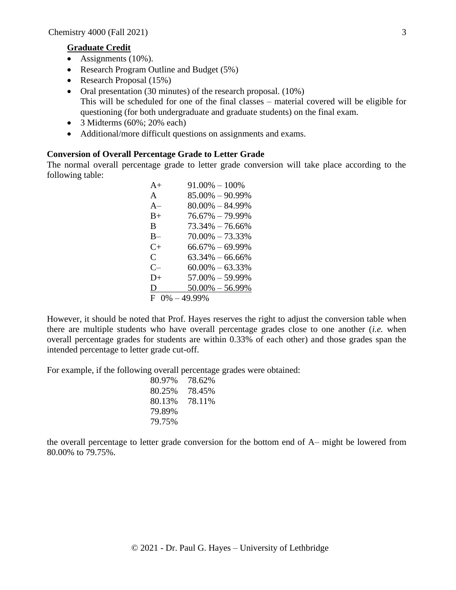#### **Graduate Credit**

- Assignments (10%).
- Research Program Outline and Budget (5%)
- Research Proposal (15%)
- Oral presentation (30 minutes) of the research proposal. (10%) This will be scheduled for one of the final classes – material covered will be eligible for questioning (for both undergraduate and graduate students) on the final exam.
- 3 Midterms (60%; 20% each)
- Additional/more difficult questions on assignments and exams.

### **Conversion of Overall Percentage Grade to Letter Grade**

The normal overall percentage grade to letter grade conversion will take place according to the following table:

| $A+$                  | $91.00\% - 100\%$   |
|-----------------------|---------------------|
| $\mathsf{A}$          | $85.00\% - 90.99\%$ |
| $A-$                  | $80.00\% - 84.99\%$ |
| $B+$                  | $76.67\% - 79.99\%$ |
| <sub>R</sub>          | $73.34\% - 76.66\%$ |
| $B -$                 | $70.00\% - 73.33\%$ |
| $C+$                  | $66.67\% - 69.99\%$ |
| $\mathsf{C}$          | $63.34\% - 66.66\%$ |
| $C-$                  | $60.00\% - 63.33\%$ |
| $D+$                  | $57.00\% - 59.99\%$ |
| D                     | $50.00\% - 56.99\%$ |
| $0\% - 49.99\%$<br>F. |                     |

However, it should be noted that Prof. Hayes reserves the right to adjust the conversion table when there are multiple students who have overall percentage grades close to one another (*i.e.* when overall percentage grades for students are within 0.33% of each other) and those grades span the intended percentage to letter grade cut-off.

For example, if the following overall percentage grades were obtained:

| 80.97% | 78.62% |
|--------|--------|
| 80.25% | 78.45% |
| 80.13% | 78.11% |
| 79.89% |        |
| 79.75% |        |

the overall percentage to letter grade conversion for the bottom end of A– might be lowered from 80.00% to 79.75%.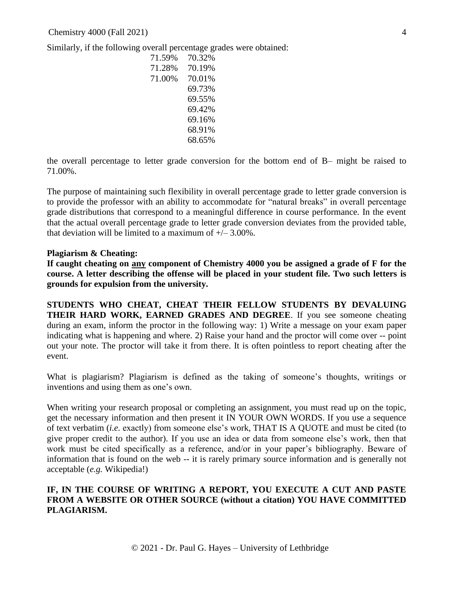Similarly, if the following overall percentage grades were obtained:

| 71.59% | 70.32% |
|--------|--------|
| 71.28% | 70.19% |
| 71.00% | 70.01% |
|        | 69.73% |
|        | 69.55% |
|        | 69.42% |
|        | 69.16% |
|        | 68.91% |
|        | 68.65% |

the overall percentage to letter grade conversion for the bottom end of B– might be raised to 71.00%.

The purpose of maintaining such flexibility in overall percentage grade to letter grade conversion is to provide the professor with an ability to accommodate for "natural breaks" in overall percentage grade distributions that correspond to a meaningful difference in course performance. In the event that the actual overall percentage grade to letter grade conversion deviates from the provided table, that deviation will be limited to a maximum of  $\pm$  – 3.00%.

### **Plagiarism & Cheating:**

**If caught cheating on any component of Chemistry 4000 you be assigned a grade of F for the course. A letter describing the offense will be placed in your student file. Two such letters is grounds for expulsion from the university.** 

**STUDENTS WHO CHEAT, CHEAT THEIR FELLOW STUDENTS BY DEVALUING THEIR HARD WORK, EARNED GRADES AND DEGREE**. If you see someone cheating during an exam, inform the proctor in the following way: 1) Write a message on your exam paper indicating what is happening and where. 2) Raise your hand and the proctor will come over -- point out your note. The proctor will take it from there. It is often pointless to report cheating after the event.

What is plagiarism? Plagiarism is defined as the taking of someone's thoughts, writings or inventions and using them as one's own.

When writing your research proposal or completing an assignment, you must read up on the topic, get the necessary information and then present it IN YOUR OWN WORDS. If you use a sequence of text verbatim (*i.e.* exactly) from someone else's work, THAT IS A QUOTE and must be cited (to give proper credit to the author). If you use an idea or data from someone else's work, then that work must be cited specifically as a reference, and/or in your paper's bibliography. Beware of information that is found on the web -- it is rarely primary source information and is generally not acceptable (*e.g.* Wikipedia!)

## **IF, IN THE COURSE OF WRITING A REPORT, YOU EXECUTE A CUT AND PASTE FROM A WEBSITE OR OTHER SOURCE (without a citation) YOU HAVE COMMITTED PLAGIARISM.**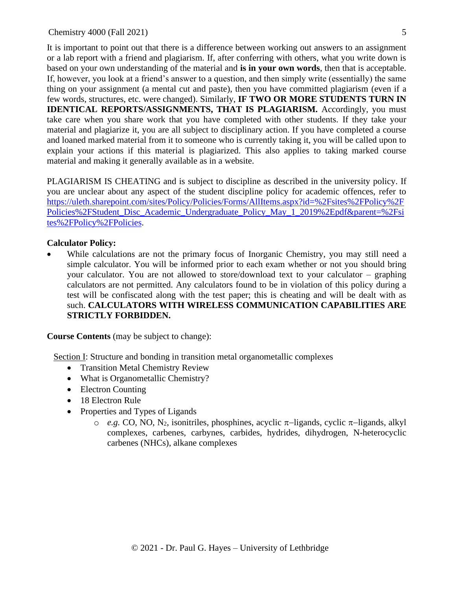It is important to point out that there is a difference between working out answers to an assignment or a lab report with a friend and plagiarism. If, after conferring with others, what you write down is based on your own understanding of the material and **is in your own words**, then that is acceptable. If, however, you look at a friend's answer to a question, and then simply write (essentially) the same thing on your assignment (a mental cut and paste), then you have committed plagiarism (even if a few words, structures, etc. were changed). Similarly, **IF TWO OR MORE STUDENTS TURN IN IDENTICAL REPORTS/ASSIGNMENTS, THAT IS PLAGIARISM.** Accordingly, you must take care when you share work that you have completed with other students. If they take your material and plagiarize it, you are all subject to disciplinary action. If you have completed a course and loaned marked material from it to someone who is currently taking it, you will be called upon to explain your actions if this material is plagiarized. This also applies to taking marked course material and making it generally available as in a website.

PLAGIARISM IS CHEATING and is subject to discipline as described in the university policy. If you are unclear about any aspect of the student discipline policy for academic offences, refer to [https://uleth.sharepoint.com/sites/Policy/Policies/Forms/AllItems.aspx?id=%2Fsites%2FPolicy%2F](https://uleth.sharepoint.com/sites/Policy/Policies/Forms/AllItems.aspx?id=%2Fsites%2FPolicy%2FPolicies%2FStudent_Disc_Academic_Undergraduate_Policy_May_1_2019%2Epdf&parent=%2Fsites%2FPolicy%2FPolicies) [Policies%2FStudent\\_Disc\\_Academic\\_Undergraduate\\_Policy\\_May\\_1\\_2019%2Epdf&parent=%2Fsi](https://uleth.sharepoint.com/sites/Policy/Policies/Forms/AllItems.aspx?id=%2Fsites%2FPolicy%2FPolicies%2FStudent_Disc_Academic_Undergraduate_Policy_May_1_2019%2Epdf&parent=%2Fsites%2FPolicy%2FPolicies) [tes%2FPolicy%2FPolicies.](https://uleth.sharepoint.com/sites/Policy/Policies/Forms/AllItems.aspx?id=%2Fsites%2FPolicy%2FPolicies%2FStudent_Disc_Academic_Undergraduate_Policy_May_1_2019%2Epdf&parent=%2Fsites%2FPolicy%2FPolicies)

### **Calculator Policy:**

While calculations are not the primary focus of Inorganic Chemistry, you may still need a simple calculator. You will be informed prior to each exam whether or not you should bring your calculator. You are not allowed to store/download text to your calculator – graphing calculators are not permitted. Any calculators found to be in violation of this policy during a test will be confiscated along with the test paper; this is cheating and will be dealt with as such. **CALCULATORS WITH WIRELESS COMMUNICATION CAPABILITIES ARE STRICTLY FORBIDDEN.**

**Course Contents** (may be subject to change):

Section I: Structure and bonding in transition metal organometallic complexes

- Transition Metal Chemistry Review
- What is Organometallic Chemistry?
- Electron Counting
- 18 Electron Rule
- Properties and Types of Ligands
	- o *e.g.* CO, NO, N2, isonitriles, phosphines, acyclic −ligands, cyclic −ligands, alkyl complexes, carbenes, carbynes, carbides, hydrides, dihydrogen, N-heterocyclic carbenes (NHCs), alkane complexes